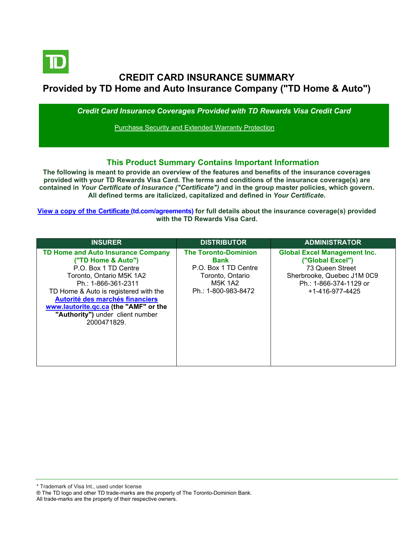

# **CREDIT CARD INSURANCE SUMMARY Provided by TD Home and Auto Insurance Company ("TD Home & Auto")**

*Credit Card Insurance Coverages Provided with TD Rewards Visa Credit Card*

Purchase Security and Extended Warranty Protection

## **This Product Summary Contains Important Information**

**The following is meant to provide an overview of the features and benefits of the insurance coverages provided with your TD Rewards Visa Card. The terms and conditions of the insurance coverage(s) are contained in** *Your Certificate of Insurance ("Certificate")* **and in the group master policies, which govern. All defined terms are italicized, capitalized and defined in** *Your Certificate***.**

**[View a copy of the Certificate](https://www.td.com/ca/en/personal-banking/how-to/manage-my-credit-card/getting-started/?tdtab=4) (td.com/agreements) for full details about the insurance coverage(s) provided with the TD Rewards Visa Card.**

| <b>INSURER</b>                                                                                                                                                                                                                                                                                                     | <b>DISTRIBUTOR</b>                                                                                                       | <b>ADMINISTRATOR</b>                                                                                                                                  |
|--------------------------------------------------------------------------------------------------------------------------------------------------------------------------------------------------------------------------------------------------------------------------------------------------------------------|--------------------------------------------------------------------------------------------------------------------------|-------------------------------------------------------------------------------------------------------------------------------------------------------|
| <b>TD Home and Auto Insurance Company</b><br>("TD Home & Auto")<br>P.O. Box 1 TD Centre<br>Toronto, Ontario M5K 1A2<br>Ph.: 1-866-361-2311<br>TD Home & Auto is registered with the<br>Autorité des marchés financiers<br>www.lautorite.gc.ca (the "AMF" or the<br>"Authority") under client number<br>2000471829. | <b>The Toronto-Dominion</b><br>Bank<br>P.O. Box 1 TD Centre<br>Toronto, Ontario<br><b>M5K 1A2</b><br>Ph.: 1-800-983-8472 | <b>Global Excel Management Inc.</b><br>("Global Excel")<br>73 Queen Street<br>Sherbrooke, Quebec J1M 0C9<br>Ph.: 1-866-374-1129 or<br>+1-416-977-4425 |

All trade-marks are the property of their respective owners.

<sup>\*</sup> Trademark of Visa Int., used under license

<sup>®</sup> The TD logo and other TD trade-marks are the property of The Toronto-Dominion Bank.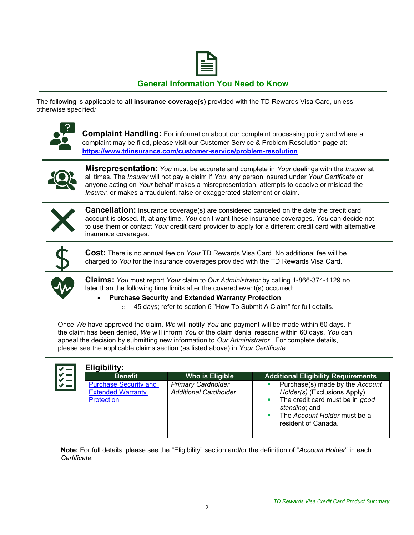

## **General Information You Need to Know**

The following is applicable to **all insurance coverage(s)** provided with the TD Rewards Visa Card, unless otherwise specified*:*



**Complaint Handling:** For information about our complaint processing policy and where a complaint may be filed, please visit our Customer Service & Problem Resolution page at: **<https://www.tdinsurance.com/customer-service/problem-resolution>**.



**Misrepresentation:** *You* must be accurate and complete in *Your* dealings with the *Insurer* at all times. The *Insurer* will not pay a claim if *You*, any person insured under *Your Certificate* or anyone acting on *Your* behalf makes a misrepresentation, attempts to deceive or mislead the *Insurer*, or makes a fraudulent, false or exaggerated statement or claim.



**Cancellation:** Insurance coverage(s) are considered canceled on the date the credit card account is closed. If, at any time, *You* don't want these insurance coverages, *You* can decide not to use them or contact *Your* credit card provider to apply for a different credit card with alternative insurance coverages.



**Cost:** There is no annual fee on *Your* TD Rewards Visa Card. No additional fee will be charged to *You* for the insurance coverages provided with the TD Rewards Visa Card.



**Claims:** *You* must report *Your* claim to *Our Administrator* by calling 1-866-374-1129 no later than the following time limits after the covered event(s) occurred:

- **Purchase Security and Extended Warranty Protection**
	- o 45 days; refer to section 6 "How To Submit A Claim" for full details.

Once *We* have approved the claim, *We* will notify *You* and payment will be made within 60 days. If the claim has been denied, *We* will inform *You* of the claim denial reasons within 60 days. *You* can appeal the decision by submitting new information to *Our Administrator*. For complete details, please see the applicable claims section (as listed above) in *Your Certificate.*

| <b>Benefit</b>                                                                | Who is Eligible                                           | <b>Additional Eligibility Requirements</b>                                                                                                                                  |
|-------------------------------------------------------------------------------|-----------------------------------------------------------|-----------------------------------------------------------------------------------------------------------------------------------------------------------------------------|
| <b>Purchase Security and</b><br><b>Extended Warranty</b><br><b>Protection</b> | <b>Primary Cardholder</b><br><b>Additional Cardholder</b> | Purchase(s) made by the Account<br>Holder(s) (Exclusions Apply).<br>The credit card must be in good<br>standing; and<br>The Account Holder must be a<br>resident of Canada. |

**Note:** For full details, please see the "Eligibility" section and/or the definition of "*Account Holder*" in each *Certificate*.